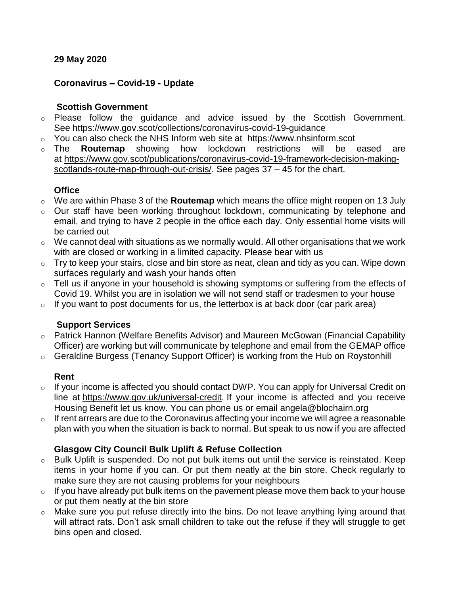#### **29 May 2020**

#### **Coronavirus – Covid-19 - Update**

#### **Scottish Government**

- o Please follow the guidance and advice issued by the Scottish Government. See <https://www.gov.scot/collections/coronavirus-covid-19-guidance>
- $\circ$  You can also check the NHS Inform web site at [https://www.nhsinform.scot](https://www.nhsinform.scot/)
- o The **Routemap** showing how lockdown restrictions will be eased are at [https://www.gov.scot/publications/coronavirus-covid-19-framework-decision-making](https://www.gov.scot/publications/coronavirus-covid-19-framework-decision-making-scotlands-route-map-through-out-crisis/)[scotlands-route-map-through-out-crisis/.](https://www.gov.scot/publications/coronavirus-covid-19-framework-decision-making-scotlands-route-map-through-out-crisis/) See pages 37 – 45 for the chart.

#### **Office**

- o We are within Phase 3 of the **Routemap** which means the office might reopen on 13 July
- o Our staff have been working throughout lockdown, communicating by telephone and email, and trying to have 2 people in the office each day. Only essential home visits will be carried out
- $\circ$  We cannot deal with situations as we normally would. All other organisations that we work with are closed or working in a limited capacity. Please bear with us
- $\circ$  Try to keep your stairs, close and bin store as neat, clean and tidy as you can. Wipe down surfaces regularly and wash your hands often
- o Tell us if anyone in your household is showing symptoms or suffering from the effects of Covid 19. Whilst you are in isolation we will not send staff or tradesmen to your house
- $\circ$  If you want to post documents for us, the letterbox is at back door (car park area)

## **Support Services**

- o Patrick Hannon (Welfare Benefits Advisor) and Maureen McGowan (Financial Capability Officer) are working but will communicate by telephone and email from the GEMAP office
- o Geraldine Burgess (Tenancy Support Officer) is working from the Hub on Roystonhill

## **Rent**

- $\circ$  If your income is affected you should contact DWP. You can apply for Universal Credit on line at [https://www.gov.uk/universal-credit.](https://www.gov.uk/universal-credit) If your income is affected and you receive Housing Benefit let us know. You can phone us or email [angela@blochairn.org](mailto:angela@blochairn.org)
- $\circ$  If rent arrears are due to the Coronavirus affecting your income we will agree a reasonable plan with you when the situation is back to normal. But speak to us now if you are affected

## **Glasgow City Council Bulk Uplift & Refuse Collection**

- o Bulk Uplift is suspended. Do not put bulk items out until the service is reinstated. Keep items in your home if you can. Or put them neatly at the bin store. Check regularly to make sure they are not causing problems for your neighbours
- $\circ$  If you have already put bulk items on the pavement please move them back to your house or put them neatly at the bin store
- o Make sure you put refuse directly into the bins. Do not leave anything lying around that will attract rats. Don't ask small children to take out the refuse if they will struggle to get bins open and closed.